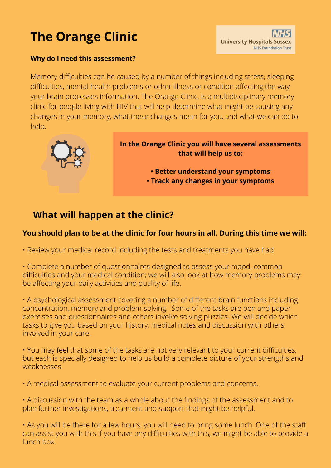# **The Orange Clinic**



#### **Why do I need this assessment?**

Memory difficulties can be caused by a number of things including stress, sleeping difficulties, mental health problems or other illness or condition affecting the way your brain processes information. The Orange Clinic, is a multidisciplinary memory clinic for people living with HIV that will help determine what might be causing any changes in your memory, what these changes mean for you, and what we can do to help.



**In the Orange Clinic you will have several assessments that will help us to:**

> **• Better understand your symptoms • Track any changes in your symptoms**

# **What will happen at the clinic?**

#### **You should plan to be at the clinic for four hours in all. During this time we will:**

• Review your medical record including the tests and treatments you have had

• Complete a number of questionnaires designed to assess your mood, common difficulties and your medical condition; we will also look at how memory problems may be affecting your daily activities and quality of life.

• A psychological assessment covering a number of different brain functions including: concentration, memory and problem-solving. Some of the tasks are pen and paper exercises and questionnaires and others involve solving puzzles. We will decide which tasks to give you based on your history, medical notes and discussion with others involved in your care.

• You may feel that some of the tasks are not very relevant to your current difficulties, but each is specially designed to help us build a complete picture of your strengths and weaknesses.

• A medical assessment to evaluate your current problems and concerns.

• A discussion with the team as a whole about the findings of the assessment and to plan further investigations, treatment and support that might be helpful.

• As you will be there for a few hours, you will need to bring some lunch. One of the staff can assist you with this if you have any difficulties with this, we might be able to provide a lunch box.